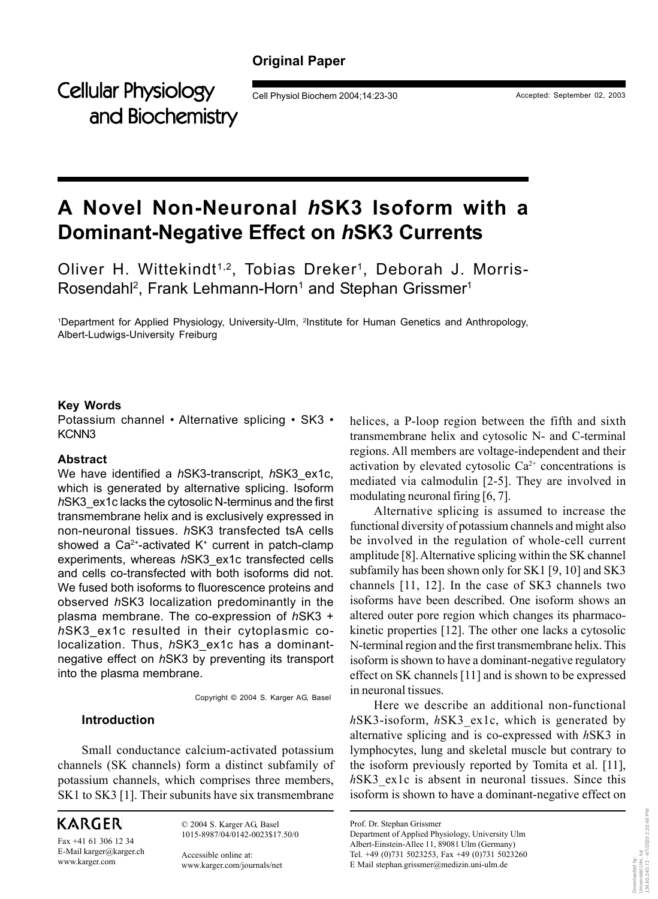# **Original Paper**

Cellular Physiology Cell Physiol Biochem 2004;14:23-30 Accepted: September 02, 2003 and Biochemistry

# **A Novel Non-Neuronal** *h***SK3 Isoform with a Dominant-Negative Effect on** *h***SK3 Currents**

Oliver H. Wittekindt<sup>1,2</sup>, Tobias Dreker<sup>1</sup>, Deborah J. Morris-Rosendahl<sup>2</sup>, Frank Lehmann-Horn<sup>1</sup> and Stephan Grissmer<sup>1</sup>

<sup>1</sup>Department for Applied Physiology, University-Ulm, <sup>2</sup>Institute for Human Genetics and Anthropology, Albert-Ludwigs-University Freiburg

#### **Key Words**

Potassium channel • Alternative splicing • SK3 • KCNN3

### **Abstract**

We have identified a *h*SK3-transcript, *h*SK3\_ex1c, which is generated by alternative splicing. Isoform *h*SK3\_ex1c lacks the cytosolic N-terminus and the first transmembrane helix and is exclusively expressed in non-neuronal tissues. *h*SK3 transfected tsA cells showed a  $Ca^{2+}$ -activated K<sup>+</sup> current in patch-clamp experiments, whereas *h*SK3\_ex1c transfected cells and cells co-transfected with both isoforms did not. We fused both isoforms to fluorescence proteins and observed *h*SK3 localization predominantly in the plasma membrane. The co-expression of *h*SK3 + *h*SK3\_ex1c resulted in their cytoplasmic colocalization. Thus, *h*SK3\_ex1c has a dominantnegative effect on *h*SK3 by preventing its transport into the plasma membrane.

Copyright © 2004 S. Karger AG, Basel

# **Introduction**

Small conductance calcium-activated potassium channels (SK channels) form a distinct subfamily of potassium channels, which comprises three members, SK1 to SK3 [1]. Their subunits have six transmembrane

**KARGER** 

Fax +41 61 306 12 34 E-Mail karger@karger.ch www.karger.com

© 2004 S. Karger AG, Basel 1015-8987/04/0142-0023\$17.50/0

Accessible online at: www.karger.com/journals/net helices, a P-loop region between the fifth and sixth transmembrane helix and cytosolic N- and C-terminal regions. All members are voltage-independent and their activation by elevated cytosolic  $Ca^{2+}$  concentrations is mediated via calmodulin [2-5]. They are involved in modulating neuronal firing [6, 7].

Alternative splicing is assumed to increase the functional diversity of potassium channels and might also be involved in the regulation of whole-cell current amplitude [8]. Alternative splicing within the SK channel subfamily has been shown only for SK1 [9, 10] and SK3 channels [11, 12]. In the case of SK3 channels two isoforms have been described. One isoform shows an altered outer pore region which changes its pharmacokinetic properties [12]. The other one lacks a cytosolic N-terminal region and the first transmembrane helix. This isoform is shown to have a dominant-negative regulatory effect on SK channels [11] and is shown to be expressed in neuronal tissues.

Here we describe an additional non-functional *h*SK3-isoform, *h*SK3\_ex1c, which is generated by alternative splicing and is co-expressed with *h*SK3 in lymphocytes, lung and skeletal muscle but contrary to the isoform previously reported by Tomita et al. [11], *h*SK3\_ex1c is absent in neuronal tissues. Since this isoform is shown to have a dominant-negative effect on

Prof. Dr. Stephan Grissmer Department of Applied Physiology, University Ulm Albert-Einstein-Allee 11, 89081 Ulm (Germany) Tel. +49 (0)731 5023253, Fax +49 (0)731 5023260 E Mail stephan.grissmer@medizin.uni-ulm.de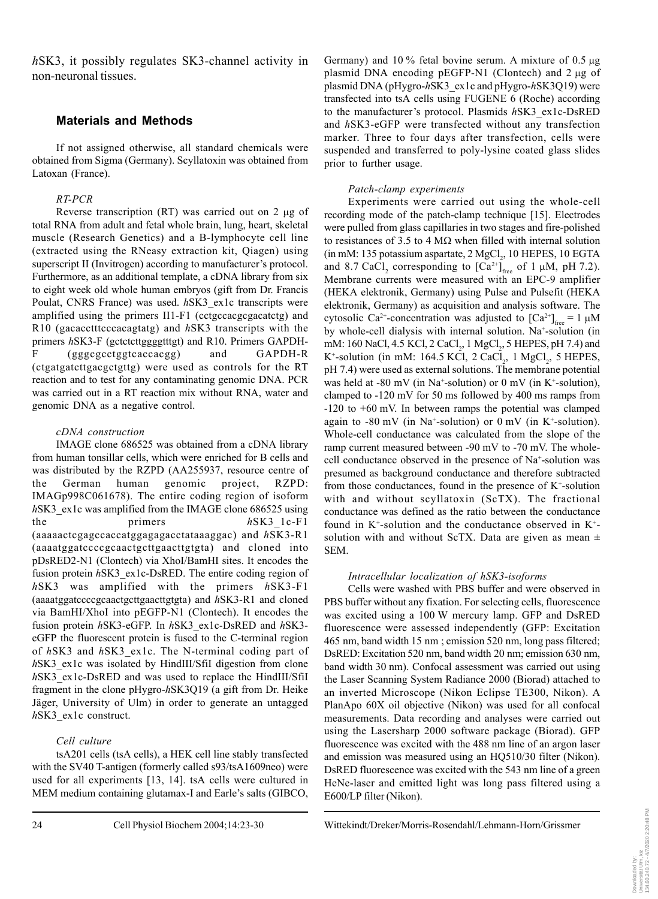*h*SK3, it possibly regulates SK3-channel activity in non-neuronal tissues.

# **Materials and Methods**

If not assigned otherwise, all standard chemicals were obtained from Sigma (Germany). Scyllatoxin was obtained from Latoxan (France).

## *RT-PCR*

Reverse transcription (RT) was carried out on 2 µg of total RNA from adult and fetal whole brain, lung, heart, skeletal muscle (Research Genetics) and a B-lymphocyte cell line (extracted using the RNeasy extraction kit, Qiagen) using superscript II (Invitrogen) according to manufacturer's protocol. Furthermore, as an additional template, a cDNA library from six to eight week old whole human embryos (gift from Dr. Francis Poulat, CNRS France) was used. *h*SK3\_ex1c transcripts were amplified using the primers II1-F1 (cctgccacgcgacatctg) and R10 (gacacctttcccacagtatg) and *h*SK3 transcripts with the primers *h*SK3-F (gctctcttggggtttgt) and R10. Primers GAPDH-F (gggcgcctggtcaccacgg) and GAPDH-R (ctgatgatcttgacgctgttg) were used as controls for the RT reaction and to test for any contaminating genomic DNA. PCR was carried out in a RT reaction mix without RNA, water and genomic DNA as a negative control.

#### *cDNA construction*

IMAGE clone 686525 was obtained from a cDNA library from human tonsillar cells, which were enriched for B cells and was distributed by the RZPD (AA255937, resource centre of the German human genomic project, RZPD: IMAGp998C061678). The entire coding region of isoform *h*SK3 ex1c was amplified from the IMAGE clone 686525 using the primers *h*SK3 1c-F1 (aaaaactcgagccaccatggagagacctataaaggac) and *h*SK3-R1 (aaaatggatccccgcaactgcttgaacttgtgta) and cloned into pDsRED2-N1 (Clontech) via XhoI/BamHI sites. It encodes the fusion protein *h*SK3 ex1c-DsRED. The entire coding region of *h*SK3 was amplified with the primers *h*SK3-F1 (aaaatggatccccgcaactgcttgaacttgtgta) and *h*SK3-R1 and cloned via BamHI/XhoI into pEGFP-N1 (Clontech). It encodes the fusion protein *h*SK3-eGFP. In *h*SK3\_ex1c-DsRED and *h*SK3 eGFP the fluorescent protein is fused to the C-terminal region of *h*SK3 and *h*SK3\_ex1c. The N-terminal coding part of *h*SK3\_ex1c was isolated by HindIII/SfiI digestion from clone *h*SK3\_ex1c-DsRED and was used to replace the HindIII/SfiI fragment in the clone pHygro-*h*SK3Q19 (a gift from Dr. Heike Jäger, University of Ulm) in order to generate an untagged *h*SK3\_ex1c construct.

## *Cell culture*

tsA201 cells (tsA cells), a HEK cell line stably transfected with the SV40 T-antigen (formerly called s93/tsA1609neo) were used for all experiments [13, 14]. tsA cells were cultured in MEM medium containing glutamax-I and Earle's salts (GIBCO, Germany) and 10 % fetal bovine serum. A mixture of 0.5 µg plasmid DNA encoding  $pEGFP-N1$  (Clontech) and  $2 \mu g$  of plasmid DNA (pHygro-*h*SK3\_ex1c and pHygro-*h*SK3Q19) were transfected into tsA cells using FUGENE 6 (Roche) according to the manufacturer's protocol. Plasmids *h*SK3\_ex1c-DsRED and *h*SK3-eGFP were transfected without any transfection marker. Three to four days after transfection, cells were suspended and transferred to poly-lysine coated glass slides prior to further usage.

## *Patch-clamp experiments*

Experiments were carried out using the whole-cell recording mode of the patch-clamp technique [15]. Electrodes were pulled from glass capillaries in two stages and fire-polished to resistances of 3.5 to 4 M $\Omega$  when filled with internal solution  $(in mM: 135 \text{ potassium aspartate}, 2 \text{ MgCl}_2, 10 \text{ HEPES}, 10 \text{ EGTA})$ and 8.7 CaCl<sub>2</sub> corresponding to  $\left[Ca^{2+}\right]_{\text{free}}$  of 1 µM, pH 7.2). Membrane currents were measured with an EPC-9 amplifier (HEKA elektronik, Germany) using Pulse and Pulsefit (HEKA elektronik, Germany) as acquisition and analysis software. The cytosolic Ca<sup>2+</sup>-concentration was adjusted to  ${[Ca^{2+}]}_{\text{free}} = 1 \mu M$ by whole-cell dialysis with internal solution. Na<sup>+</sup>-solution (in mM: 160 NaCl, 4.5 KCl, 2 CaCl<sub>2</sub>, 1 MgCl<sub>2</sub>, 5 HEPES, pH 7.4) and  $K^+$ -solution (in mM: 164.5 KCl, 2 CaCl<sub>2</sub>, 1 MgCl<sub>2</sub>, 5 HEPES, pH 7.4) were used as external solutions. The membrane potential was held at -80 mV (in Na<sup>+</sup>-solution) or 0 mV (in K<sup>+</sup>-solution), clamped to -120 mV for 50 ms followed by 400 ms ramps from -120 to +60 mV. In between ramps the potential was clamped again to -80 mV (in Na<sup>+</sup>-solution) or 0 mV (in K<sup>+</sup>-solution). Whole-cell conductance was calculated from the slope of the ramp current measured between -90 mV to -70 mV. The wholecell conductance observed in the presence of Na+ -solution was presumed as background conductance and therefore subtracted from those conductances, found in the presence of  $K^+$ -solution with and without scyllatoxin (ScTX). The fractional conductance was defined as the ratio between the conductance found in  $K^*$ -solution and the conductance observed in  $K^*$ solution with and without ScTX. Data are given as mean  $\pm$ SEM.

#### *Intracellular localization of hSK3-isoforms*

Cells were washed with PBS buffer and were observed in PBS buffer without any fixation. For selecting cells, fluorescence was excited using a 100 W mercury lamp. GFP and DsRED fluorescence were assessed independently (GFP: Excitation 465 nm, band width 15 nm ; emission 520 nm, long pass filtered; DsRED: Excitation 520 nm, band width 20 nm; emission 630 nm, band width 30 nm). Confocal assessment was carried out using the Laser Scanning System Radiance 2000 (Biorad) attached to an inverted Microscope (Nikon Eclipse TE300, Nikon). A PlanApo 60X oil objective (Nikon) was used for all confocal measurements. Data recording and analyses were carried out using the Lasersharp 2000 software package (Biorad). GFP fluorescence was excited with the 488 nm line of an argon laser and emission was measured using an HQ510/30 filter (Nikon). DsRED fluorescence was excited with the 543 nm line of a green HeNe-laser and emitted light was long pass filtered using a E600/LP filter (Nikon).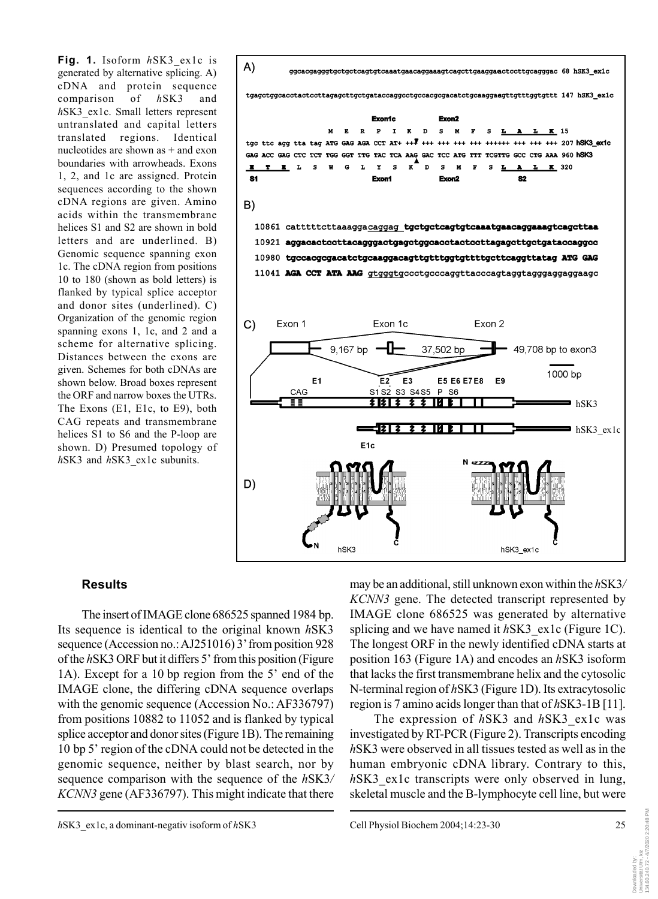**Fig. 1.** Isoform *h*SK3\_ex1c is generated by alternative splicing. A) cDNA and protein sequence comparison of *h*SK3 and *h*SK3\_ex1c. Small letters represent untranslated and capital letters translated regions. Identical nucleotides are shown as + and exon boundaries with arrowheads. Exons 1, 2, and 1c are assigned. Protein sequences according to the shown cDNA regions are given. Amino acids within the transmembrane helices S1 and S2 are shown in bold letters and are underlined. B) Genomic sequence spanning exon 1c. The cDNA region from positions 10 to 180 (shown as bold letters) is flanked by typical splice acceptor and donor sites (underlined). C) Organization of the genomic region spanning exons 1, 1c, and 2 and a scheme for alternative splicing. Distances between the exons are given. Schemes for both cDNAs are shown below. Broad boxes represent the ORF and narrow boxes the UTRs. The Exons (E1, E1c, to E9), both CAG repeats and transmembrane helices S1 to S6 and the P-loop are shown. D) Presumed topology of *h*SK3 and *h*SK3\_ex1c subunits.



## **Results**

The insert of IMAGE clone 686525 spanned 1984 bp. Its sequence is identical to the original known *h*SK3 sequence (Accession no.: AJ251016) 3' from position 928 of the *h*SK3 ORF but it differs 5' from this position (Figure 1A). Except for a 10 bp region from the 5' end of the IMAGE clone, the differing cDNA sequence overlaps with the genomic sequence (Accession No.: AF336797) from positions 10882 to 11052 and is flanked by typical splice acceptor and donor sites (Figure 1B). The remaining 10 bp 5' region of the cDNA could not be detected in the genomic sequence, neither by blast search, nor by sequence comparison with the sequence of the *h*SK3*/ KCNN3* gene (AF336797). This might indicate that there may be an additional, still unknown exon within the *h*SK3*/ KCNN3* gene. The detected transcript represented by IMAGE clone 686525 was generated by alternative splicing and we have named it *hSK3* ex1c (Figure 1C). The longest ORF in the newly identified cDNA starts at position 163 (Figure 1A) and encodes an *h*SK3 isoform that lacks the first transmembrane helix and the cytosolic N-terminal region of *h*SK3 (Figure 1D). Its extracytosolic region is 7 amino acids longer than that of *h*SK3-1B [11].

The expression of *h*SK3 and *h*SK3\_ex1c was investigated by RT-PCR (Figure 2). Transcripts encoding *h*SK3 were observed in all tissues tested as well as in the human embryonic cDNA library. Contrary to this, hSK3 ex1c transcripts were only observed in lung, skeletal muscle and the B-lymphocyte cell line, but were

Downloaded by: Universität Ulm, kiz 134.60.240.72 - 4/7/2020 2:20:48 PM

Downloaded by:<br>Universität Ulm, k<br>134.60.240.72 - 4

, kiz<br>- 4/7/2020 2:20:48 PM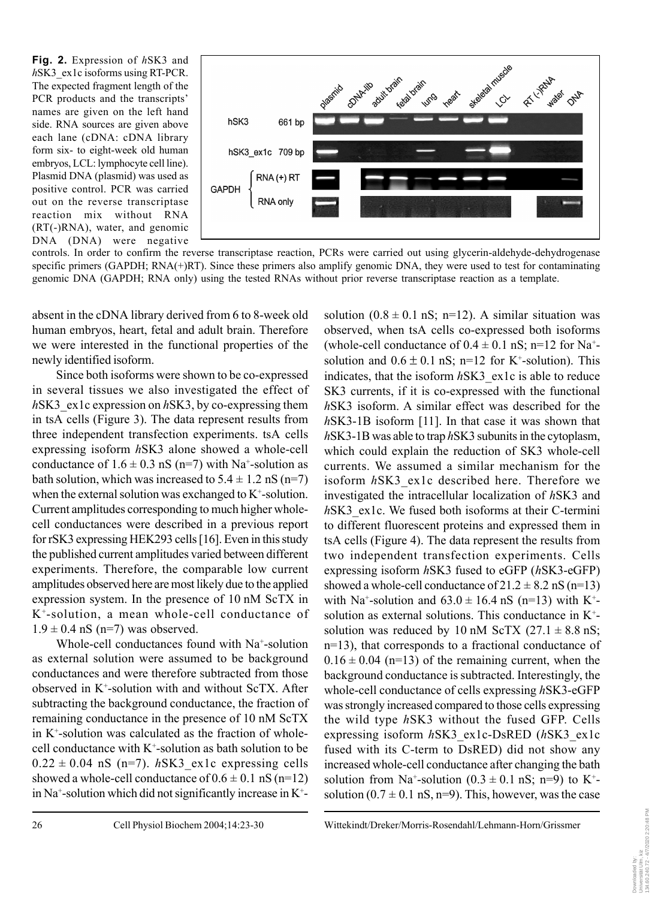**Fig. 2.** Expression of *h*SK3 and *h*SK3\_ex1c isoforms using RT-PCR. The expected fragment length of the PCR products and the transcripts' names are given on the left hand side. RNA sources are given above each lane (cDNA: cDNA library form six- to eight-week old human embryos, LCL: lymphocyte cell line). Plasmid DNA (plasmid) was used as positive control. PCR was carried out on the reverse transcriptase reaction mix without RNA (RT(-)RNA), water, and genomic DNA (DNA) were negative



controls. In order to confirm the reverse transcriptase reaction, PCRs were carried out using glycerin-aldehyde-dehydrogenase specific primers (GAPDH; RNA(+)RT). Since these primers also amplify genomic DNA, they were used to test for contaminating genomic DNA (GAPDH; RNA only) using the tested RNAs without prior reverse transcriptase reaction as a template.

absent in the cDNA library derived from 6 to 8-week old human embryos, heart, fetal and adult brain. Therefore we were interested in the functional properties of the newly identified isoform.

Since both isoforms were shown to be co-expressed in several tissues we also investigated the effect of *h*SK3\_ex1c expression on *h*SK3, by co-expressing them in tsA cells (Figure 3). The data represent results from three independent transfection experiments. tsA cells expressing isoform *h*SK3 alone showed a whole-cell conductance of  $1.6 \pm 0.3$  nS (n=7) with Na<sup>+</sup>-solution as bath solution, which was increased to  $5.4 \pm 1.2$  nS (n=7) when the external solution was exchanged to  $K^+$ -solution. Current amplitudes corresponding to much higher wholecell conductances were described in a previous report for rSK3 expressing HEK293 cells [16]. Even in this study the published current amplitudes varied between different experiments. Therefore, the comparable low current amplitudes observed here are most likely due to the applied expression system. In the presence of 10 nM ScTX in K+-solution, a mean whole-cell conductance of  $1.9 \pm 0.4$  nS (n=7) was observed.

Whole-cell conductances found with Na<sup>+</sup>-solution as external solution were assumed to be background conductances and were therefore subtracted from those observed in K+ -solution with and without ScTX. After subtracting the background conductance, the fraction of remaining conductance in the presence of 10 nM ScTX in K+ -solution was calculated as the fraction of wholecell conductance with  $K^*$ -solution as bath solution to be  $0.22 \pm 0.04$  nS (n=7). *hSK3* ex1c expressing cells showed a whole-cell conductance of  $0.6 \pm 0.1$  nS (n=12) in Na<sup>+</sup>-solution which did not significantly increase in  $K^+$ -

solution  $(0.8 \pm 0.1 \text{ nS}; \text{ n=12})$ . A similar situation was observed, when tsA cells co-expressed both isoforms (whole-cell conductance of  $0.4 \pm 0.1$  nS; n=12 for Na<sup>+</sup>solution and  $0.6 \pm 0.1$  nS; n=12 for K<sup>+</sup>-solution). This indicates, that the isoform *h*SK3\_ex1c is able to reduce SK3 currents, if it is co-expressed with the functional *h*SK3 isoform. A similar effect was described for the *h*SK3-1B isoform [11]. In that case it was shown that *h*SK3-1B was able to trap *h*SK3 subunits in the cytoplasm, which could explain the reduction of SK3 whole-cell currents. We assumed a similar mechanism for the isoform *h*SK3\_ex1c described here. Therefore we investigated the intracellular localization of *h*SK3 and *h*SK3\_ex1c. We fused both isoforms at their C-termini to different fluorescent proteins and expressed them in tsA cells (Figure 4). The data represent the results from two independent transfection experiments. Cells expressing isoform *h*SK3 fused to eGFP (*h*SK3-eGFP) showed a whole-cell conductance of  $21.2 \pm 8.2$  nS (n=13) with Na<sup>+</sup>-solution and  $63.0 \pm 16.4$  nS (n=13) with K<sup>+</sup>solution as external solutions. This conductance in K<sup>+</sup>solution was reduced by 10 nM ScTX  $(27.1 \pm 8.8 \text{ nS})$ ; n=13), that corresponds to a fractional conductance of  $0.16 \pm 0.04$  (n=13) of the remaining current, when the background conductance is subtracted. Interestingly, the whole-cell conductance of cells expressing *h*SK3-eGFP was strongly increased compared to those cells expressing the wild type *h*SK3 without the fused GFP. Cells expressing isoform *h*SK3\_ex1c-DsRED (*h*SK3\_ex1c fused with its C-term to DsRED) did not show any increased whole-cell conductance after changing the bath solution from Na<sup>+</sup>-solution  $(0.3 \pm 0.1 \text{ nS}; \text{ n=9})$  to K<sup>+</sup>solution  $(0.7 \pm 0.1 \text{ nS}, \text{n=9})$ . This, however, was the case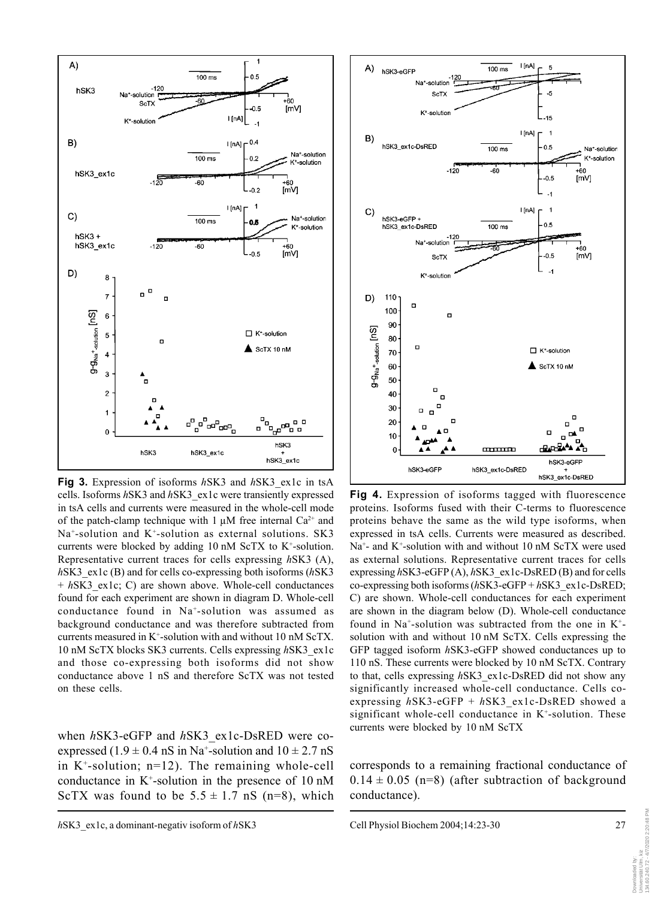

**Fig 3.** Expression of isoforms *h*SK3 and *h*SK3\_ex1c in tsA cells. Isoforms *h*SK3 and *h*SK3\_ex1c were transiently expressed in tsA cells and currents were measured in the whole-cell mode of the patch-clamp technique with 1  $\mu$ M free internal Ca<sup>2+</sup> and  $Na<sup>+</sup>$ -solution and K<sup>+</sup>-solution as external solutions. SK3 currents were blocked by adding  $10 \text{ nM }$  ScTX to K<sup>+</sup>-solution. Representative current traces for cells expressing *h*SK3 (A), *h*SK3\_ex1c (B) and for cells co-expressing both isoforms (*h*SK3 + *h*SK3\_ex1c; C) are shown above. Whole-cell conductances found for each experiment are shown in diagram D. Whole-cell conductance found in Na+-solution was assumed as background conductance and was therefore subtracted from currents measured in K+-solution with and without 10 nM ScTX. 10 nM ScTX blocks SK3 currents. Cells expressing *h*SK3\_ex1c and those co-expressing both isoforms did not show conductance above 1 nS and therefore ScTX was not tested on these cells.

currents were blocked by 10 nM ScTX when *h*SK3-eGFP and *h*SK3\_ex1c-DsRED were coexpressed  $(1.9 \pm 0.4 \text{ nS in Na}^+$ -solution and  $10 \pm 2.7 \text{ nS}$ in  $K^+$ -solution; n=12). The remaining whole-cell conductance in K+ -solution in the presence of 10 nM ScTX was found to be  $5.5 \pm 1.7$  nS (n=8), which



**Fig 4.** Expression of isoforms tagged with fluorescence proteins. Isoforms fused with their C-terms to fluorescence proteins behave the same as the wild type isoforms, when expressed in tsA cells. Currents were measured as described. Na<sup>+</sup>- and K<sup>+</sup>-solution with and without 10 nM ScTX were used as external solutions. Representative current traces for cells expressing *h*SK3-eGFP (A), *h*SK3\_ex1c-DsRED (B) and for cells co-expressing both isoforms (*h*SK3-eGFP + *h*SK3\_ex1c-DsRED; C) are shown. Whole-cell conductances for each experiment are shown in the diagram below (D). Whole-cell conductance found in Na<sup>+</sup>-solution was subtracted from the one in  $K^+$ solution with and without 10 nM ScTX. Cells expressing the GFP tagged isoform *h*SK3-eGFP showed conductances up to 110 nS. These currents were blocked by 10 nM ScTX. Contrary to that, cells expressing *h*SK3\_ex1c-DsRED did not show any significantly increased whole-cell conductance. Cells coexpressing *h*SK3-eGFP + *h*SK3\_ex1c-DsRED showed a significant whole-cell conductance in  $K<sup>+</sup>$ -solution. These

corresponds to a remaining fractional conductance of  $0.14 \pm 0.05$  (n=8) (after subtraction of background conductance).

Downloaded by: Universität Ulm, kiz 134.60.240.72 - 4/7/2020 2:20:48 PM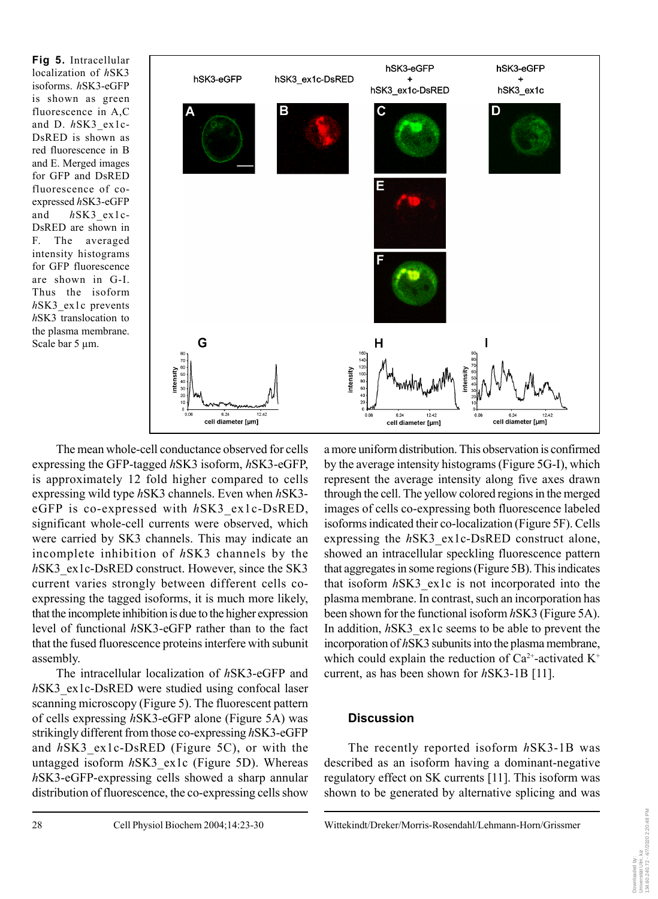**Fig 5.** Intracellular localization of *h*SK3 isoforms. *h*SK3-eGFP is shown as green fluorescence in A,C and D. *h*SK3\_ex1c-DsRED is shown as red fluorescence in B and E. Merged images for GFP and DsRED fluorescence of coexpressed *h*SK3-eGFP and *h*SK3\_ex1c-DsRED are shown in F. The averaged intensity histograms for GFP fluorescence are shown in G-I. Thus the isoform *h*SK3\_ex1c prevents *h*SK3 translocation to the plasma membrane. Scale bar 5 µm.



The mean whole-cell conductance observed for cells expressing the GFP-tagged *h*SK3 isoform, *h*SK3-eGFP, is approximately 12 fold higher compared to cells expressing wild type *h*SK3 channels. Even when *h*SK3 eGFP is co-expressed with *h*SK3\_ex1c-DsRED, significant whole-cell currents were observed, which were carried by SK3 channels. This may indicate an incomplete inhibition of *h*SK3 channels by the *h*SK3 ex1c-DsRED construct. However, since the SK3 current varies strongly between different cells coexpressing the tagged isoforms, it is much more likely, that the incomplete inhibition is due to the higher expression level of functional *h*SK3-eGFP rather than to the fact that the fused fluorescence proteins interfere with subunit assembly.

The intracellular localization of *h*SK3-eGFP and *hSK3* ex1c-DsRED were studied using confocal laser scanning microscopy (Figure 5). The fluorescent pattern of cells expressing *h*SK3-eGFP alone (Figure 5A) was strikingly different from those co-expressing *h*SK3-eGFP and *h*SK3\_ex1c-DsRED (Figure 5C), or with the untagged isoform *h*SK3\_ex1c (Figure 5D). Whereas *h*SK3-eGFP-expressing cells showed a sharp annular distribution of fluorescence, the co-expressing cells show

a more uniform distribution. This observation is confirmed by the average intensity histograms (Figure 5G-I), which represent the average intensity along five axes drawn through the cell. The yellow colored regions in the merged images of cells co-expressing both fluorescence labeled isoforms indicated their co-localization (Figure 5F). Cells expressing the *h*SK3\_ex1c-DsRED construct alone, showed an intracellular speckling fluorescence pattern that aggregates in some regions (Figure 5B). This indicates that isoform *h*SK3\_ex1c is not incorporated into the plasma membrane. In contrast, such an incorporation has been shown for the functional isoform *h*SK3 (Figure 5A). In addition, *h*SK3\_ex1c seems to be able to prevent the incorporation of *h*SK3 subunits into the plasma membrane, which could explain the reduction of  $Ca^{2+}$ -activated  $K^+$ current, as has been shown for *h*SK3-1B [11].

# **Discussion**

The recently reported isoform *h*SK3-1B was described as an isoform having a dominant-negative regulatory effect on SK currents [11]. This isoform was shown to be generated by alternative splicing and was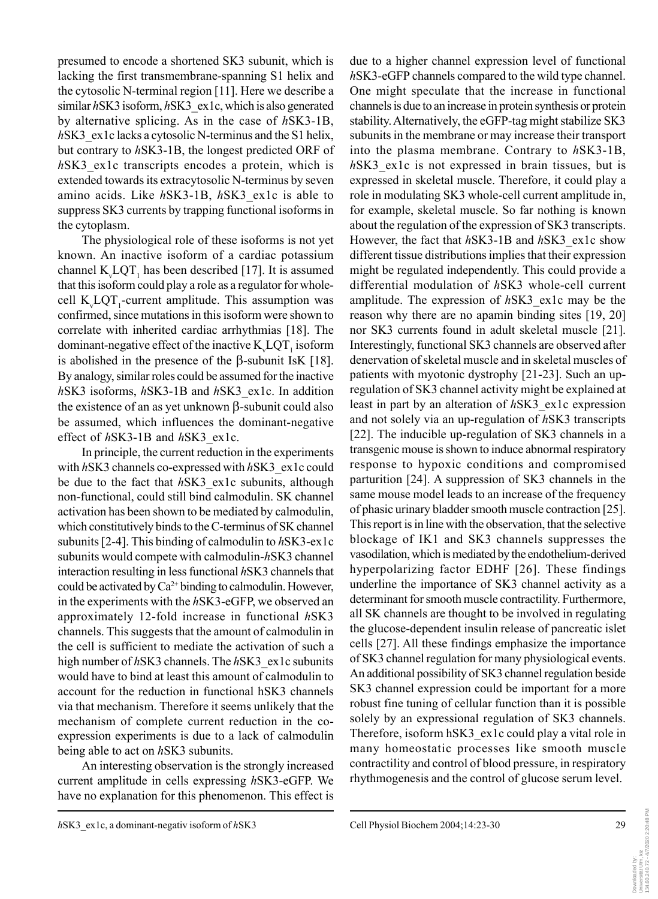presumed to encode a shortened SK3 subunit, which is lacking the first transmembrane-spanning S1 helix and the cytosolic N-terminal region [11]. Here we describe a similar *h*SK3 isoform, *hSK3* ex1c, which is also generated by alternative splicing. As in the case of *h*SK3-1B, *h*SK3\_ex1c lacks a cytosolic N-terminus and the S1 helix, but contrary to *h*SK3-1B, the longest predicted ORF of *hSK3* ex1c transcripts encodes a protein, which is extended towards its extracytosolic N-terminus by seven amino acids. Like *h*SK3-1B, *h*SK3\_ex1c is able to suppress SK3 currents by trapping functional isoforms in the cytoplasm.

The physiological role of these isoforms is not yet known. An inactive isoform of a cardiac potassium channel  $K_v LQT_1$  has been described [17]. It is assumed that this isoform could play a role as a regulator for wholecell  $K_v LQT_1$ -current amplitude. This assumption was confirmed, since mutations in this isoform were shown to correlate with inherited cardiac arrhythmias [18]. The dominant-negative effect of the inactive  $K_v LQT_1$  isoform is abolished in the presence of the β-subunit IsK [18]. By analogy, similar roles could be assumed for the inactive *h*SK3 isoforms, *h*SK3-1B and *h*SK3\_ex1c. In addition the existence of an as yet unknown β-subunit could also be assumed, which influences the dominant-negative effect of *h*SK3-1B and *h*SK3\_ex1c.

In principle, the current reduction in the experiments with *h*SK3 channels co-expressed with *h*SK3\_ex1c could be due to the fact that *h*SK3\_ex1c subunits, although non-functional, could still bind calmodulin. SK channel activation has been shown to be mediated by calmodulin, which constitutively binds to the C-terminus of SK channel subunits [2-4]. This binding of calmodulin to *h*SK3-ex1c subunits would compete with calmodulin-*h*SK3 channel interaction resulting in less functional *h*SK3 channels that could be activated by  $Ca^{2+}$  binding to calmodulin. However, in the experiments with the *h*SK3-eGFP, we observed an approximately 12-fold increase in functional *h*SK3 channels. This suggests that the amount of calmodulin in the cell is sufficient to mediate the activation of such a high number of *h*SK3 channels. The *h*SK3\_ex1c subunits would have to bind at least this amount of calmodulin to account for the reduction in functional hSK3 channels via that mechanism. Therefore it seems unlikely that the mechanism of complete current reduction in the coexpression experiments is due to a lack of calmodulin being able to act on *h*SK3 subunits.

An interesting observation is the strongly increased current amplitude in cells expressing *h*SK3-eGFP. We have no explanation for this phenomenon. This effect is

due to a higher channel expression level of functional *h*SK3-eGFP channels compared to the wild type channel. One might speculate that the increase in functional channels is due to an increase in protein synthesis or protein stability. Alternatively, the eGFP-tag might stabilize SK3 subunits in the membrane or may increase their transport into the plasma membrane. Contrary to *h*SK3-1B, *h*SK3\_ex1c is not expressed in brain tissues, but is expressed in skeletal muscle. Therefore, it could play a role in modulating SK3 whole-cell current amplitude in, for example, skeletal muscle. So far nothing is known about the regulation of the expression of SK3 transcripts. However, the fact that *h*SK3-1B and *h*SK3\_ex1c show different tissue distributions implies that their expression might be regulated independently. This could provide a differential modulation of *h*SK3 whole-cell current amplitude. The expression of *h*SK3\_ex1c may be the reason why there are no apamin binding sites [19, 20] nor SK3 currents found in adult skeletal muscle [21]. Interestingly, functional SK3 channels are observed after denervation of skeletal muscle and in skeletal muscles of patients with myotonic dystrophy [21-23]. Such an upregulation of SK3 channel activity might be explained at least in part by an alteration of *h*SK3\_ex1c expression and not solely via an up-regulation of *h*SK3 transcripts [22]. The inducible up-regulation of SK3 channels in a transgenic mouse is shown to induce abnormal respiratory response to hypoxic conditions and compromised parturition [24]. A suppression of SK3 channels in the same mouse model leads to an increase of the frequency of phasic urinary bladder smooth muscle contraction [25]. This report is in line with the observation, that the selective blockage of IK1 and SK3 channels suppresses the vasodilation, which is mediated by the endothelium-derived hyperpolarizing factor EDHF [26]. These findings underline the importance of SK3 channel activity as a determinant for smooth muscle contractility. Furthermore, all SK channels are thought to be involved in regulating the glucose-dependent insulin release of pancreatic islet cells [27]. All these findings emphasize the importance of SK3 channel regulation for many physiological events. An additional possibility of SK3 channel regulation beside SK3 channel expression could be important for a more robust fine tuning of cellular function than it is possible solely by an expressional regulation of SK3 channels. Therefore, isoform hSK3 ex1c could play a vital role in many homeostatic processes like smooth muscle contractility and control of blood pressure, in respiratory rhythmogenesis and the control of glucose serum level.

Downloaded by:<br>Universität Ulm, kiz<br>134.60.240.72 - 4/7/2020 2:20:48 PM 134.60.240.72 - 4/7/2020 2:20:48 PMUniversität Ulm, kiz Downloaded by: